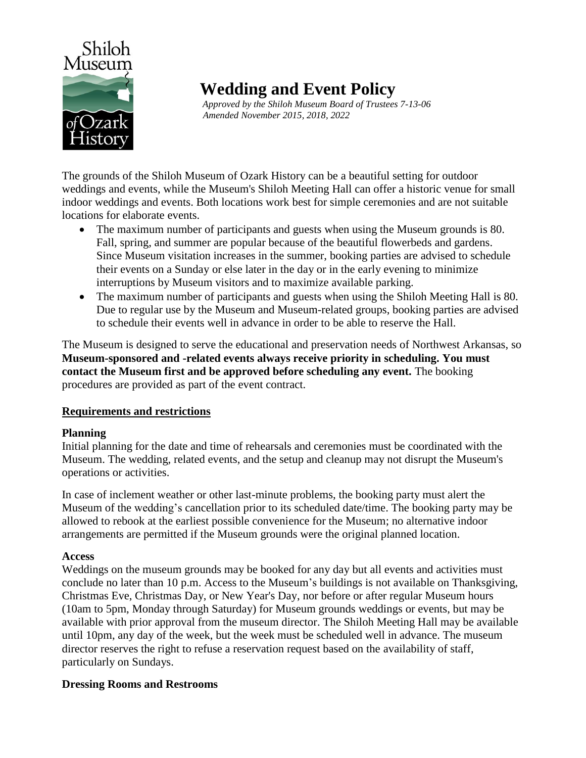

## **Wedding and Event Policy**

*Approved by the Shiloh Museum Board of Trustees 7-13-06 Amended November 2015, 2018, 2022*

The grounds of the Shiloh Museum of Ozark History can be a beautiful setting for outdoor weddings and events, while the Museum's Shiloh Meeting Hall can offer a historic venue for small indoor weddings and events. Both locations work best for simple ceremonies and are not suitable locations for elaborate events.

- The maximum number of participants and guests when using the Museum grounds is 80. Fall, spring, and summer are popular because of the beautiful flowerbeds and gardens. Since Museum visitation increases in the summer, booking parties are advised to schedule their events on a Sunday or else later in the day or in the early evening to minimize interruptions by Museum visitors and to maximize available parking.
- The maximum number of participants and guests when using the Shiloh Meeting Hall is 80. Due to regular use by the Museum and Museum-related groups, booking parties are advised to schedule their events well in advance in order to be able to reserve the Hall.

The Museum is designed to serve the educational and preservation needs of Northwest Arkansas, so **Museum-sponsored and -related events always receive priority in scheduling. You must contact the Museum first and be approved before scheduling any event.** The booking procedures are provided as part of the event contract.

#### **Requirements and restrictions**

#### **Planning**

Initial planning for the date and time of rehearsals and ceremonies must be coordinated with the Museum. The wedding, related events, and the setup and cleanup may not disrupt the Museum's operations or activities.

In case of inclement weather or other last-minute problems, the booking party must alert the Museum of the wedding's cancellation prior to its scheduled date/time. The booking party may be allowed to rebook at the earliest possible convenience for the Museum; no alternative indoor arrangements are permitted if the Museum grounds were the original planned location.

#### **Access**

Weddings on the museum grounds may be booked for any day but all events and activities must conclude no later than 10 p.m. Access to the Museum's buildings is not available on Thanksgiving, Christmas Eve, Christmas Day, or New Year's Day, nor before or after regular Museum hours (10am to 5pm, Monday through Saturday) for Museum grounds weddings or events, but may be available with prior approval from the museum director. The Shiloh Meeting Hall may be available until 10pm, any day of the week, but the week must be scheduled well in advance. The museum director reserves the right to refuse a reservation request based on the availability of staff, particularly on Sundays.

#### **Dressing Rooms and Restrooms**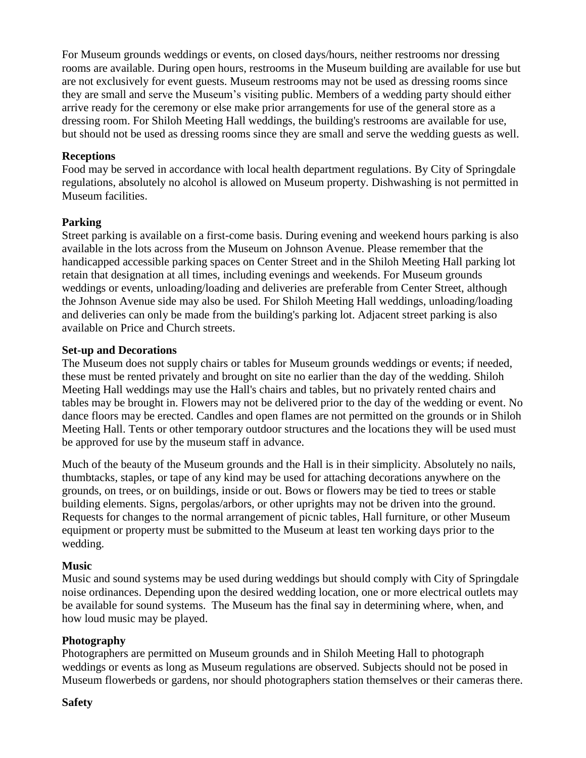For Museum grounds weddings or events, on closed days/hours, neither restrooms nor dressing rooms are available. During open hours, restrooms in the Museum building are available for use but are not exclusively for event guests. Museum restrooms may not be used as dressing rooms since they are small and serve the Museum's visiting public. Members of a wedding party should either arrive ready for the ceremony or else make prior arrangements for use of the general store as a dressing room. For Shiloh Meeting Hall weddings, the building's restrooms are available for use, but should not be used as dressing rooms since they are small and serve the wedding guests as well.

#### **Receptions**

Food may be served in accordance with local health department regulations. By City of Springdale regulations, absolutely no alcohol is allowed on Museum property. Dishwashing is not permitted in Museum facilities.

#### **Parking**

Street parking is available on a first-come basis. During evening and weekend hours parking is also available in the lots across from the Museum on Johnson Avenue. Please remember that the handicapped accessible parking spaces on Center Street and in the Shiloh Meeting Hall parking lot retain that designation at all times, including evenings and weekends. For Museum grounds weddings or events, unloading/loading and deliveries are preferable from Center Street, although the Johnson Avenue side may also be used. For Shiloh Meeting Hall weddings, unloading/loading and deliveries can only be made from the building's parking lot. Adjacent street parking is also available on Price and Church streets.

#### **Set-up and Decorations**

The Museum does not supply chairs or tables for Museum grounds weddings or events; if needed, these must be rented privately and brought on site no earlier than the day of the wedding. Shiloh Meeting Hall weddings may use the Hall's chairs and tables, but no privately rented chairs and tables may be brought in. Flowers may not be delivered prior to the day of the wedding or event. No dance floors may be erected. Candles and open flames are not permitted on the grounds or in Shiloh Meeting Hall. Tents or other temporary outdoor structures and the locations they will be used must be approved for use by the museum staff in advance.

Much of the beauty of the Museum grounds and the Hall is in their simplicity. Absolutely no nails, thumbtacks, staples, or tape of any kind may be used for attaching decorations anywhere on the grounds, on trees, or on buildings, inside or out. Bows or flowers may be tied to trees or stable building elements. Signs, pergolas/arbors, or other uprights may not be driven into the ground. Requests for changes to the normal arrangement of picnic tables, Hall furniture, or other Museum equipment or property must be submitted to the Museum at least ten working days prior to the wedding.

#### **Music**

Music and sound systems may be used during weddings but should comply with City of Springdale noise ordinances. Depending upon the desired wedding location, one or more electrical outlets may be available for sound systems. The Museum has the final say in determining where, when, and how loud music may be played.

#### **Photography**

Photographers are permitted on Museum grounds and in Shiloh Meeting Hall to photograph weddings or events as long as Museum regulations are observed. Subjects should not be posed in Museum flowerbeds or gardens, nor should photographers station themselves or their cameras there.

#### **Safety**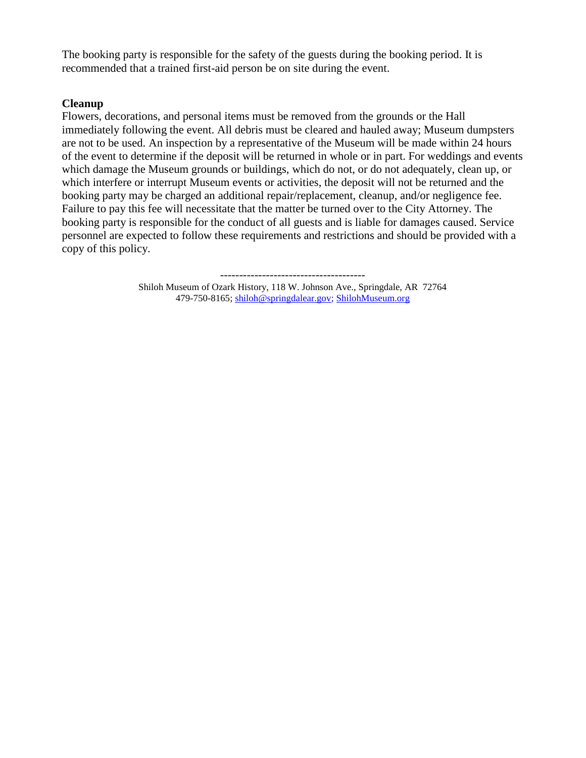The booking party is responsible for the safety of the guests during the booking period. It is recommended that a trained first-aid person be on site during the event.

#### **Cleanup**

Flowers, decorations, and personal items must be removed from the grounds or the Hall immediately following the event. All debris must be cleared and hauled away; Museum dumpsters are not to be used. An inspection by a representative of the Museum will be made within 24 hours of the event to determine if the deposit will be returned in whole or in part. For weddings and events which damage the Museum grounds or buildings, which do not, or do not adequately, clean up, or which interfere or interrupt Museum events or activities, the deposit will not be returned and the booking party may be charged an additional repair/replacement, cleanup, and/or negligence fee. Failure to pay this fee will necessitate that the matter be turned over to the City Attorney. The booking party is responsible for the conduct of all guests and is liable for damages caused. Service personnel are expected to follow these requirements and restrictions and should be provided with a copy of this policy.

--------------------------------------

Shiloh Museum of Ozark History, 118 W. Johnson Ave., Springdale, AR 72764 479-750-8165[; shiloh@springdalear.gov;](mailto:shiloh@springdalear.gov) [ShilohMuseum.org](http://www.shilohmuseum.org/)